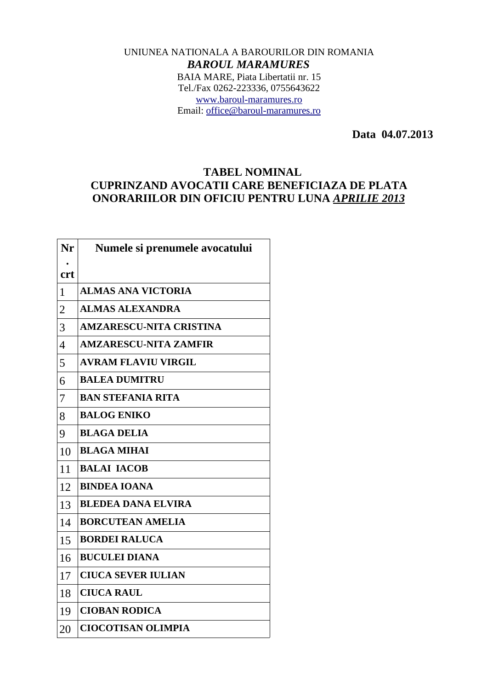## UNIUNEA NATIONALA A BAROURILOR DIN ROMANIA *BAROUL MARAMURES* BAIA MARE, Piata Libertatii nr. 15 Tel./Fax 0262-223336, 0755643622 [www.baroul-maramures.ro](http://www.baroul-maramures.ro/) Email: [office@baroul-maramures.ro](mailto:office@baroul-maramures.ro)

 **Data 04.07.2013**

## **TABEL NOMINAL CUPRINZAND AVOCATII CARE BENEFICIAZA DE PLATA ONORARIILOR DIN OFICIU PENTRU LUNA** *APRILIE 2013*

| Nr             | Numele si prenumele avocatului |
|----------------|--------------------------------|
| <b>crt</b>     |                                |
| $\mathbf{1}$   | <b>ALMAS ANA VICTORIA</b>      |
| $\overline{2}$ | <b>ALMAS ALEXANDRA</b>         |
| 3              | <b>AMZARESCU-NITA CRISTINA</b> |
| $\overline{4}$ | <b>AMZARESCU-NITA ZAMFIR</b>   |
| 5              | <b>AVRAM FLAVIU VIRGIL</b>     |
| 6              | <b>BALEA DUMITRU</b>           |
| 7              | <b>BAN STEFANIA RITA</b>       |
| 8              | <b>BALOG ENIKO</b>             |
| 9              | <b>BLAGA DELIA</b>             |
| 10             | <b>BLAGA MIHAI</b>             |
| 11             | <b>BALAI IACOB</b>             |
| 12             | <b>BINDEA IOANA</b>            |
| 13             | <b>BLEDEA DANA ELVIRA</b>      |
| 14             | <b>BORCUTEAN AMELIA</b>        |
| 15             | <b>BORDEI RALUCA</b>           |
| 16             | <b>BUCULEI DIANA</b>           |
| 17             | <b>CIUCA SEVER IULIAN</b>      |
| 18             | <b>CIUCA RAUL</b>              |
| 19             | <b>CIOBAN RODICA</b>           |
| 20             | <b>CIOCOTISAN OLIMPIA</b>      |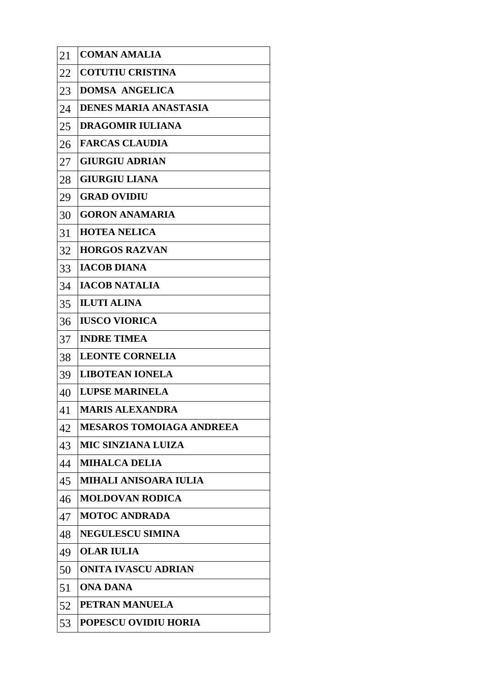| 21 | <b>COMAN AMALIA</b>             |
|----|---------------------------------|
| 22 | <b>COTUTIU CRISTINA</b>         |
| 23 | <b>DOMSA ANGELICA</b>           |
| 24 | <b>DENES MARIA ANASTASIA</b>    |
| 25 | <b>DRAGOMIR IULIANA</b>         |
| 26 | <b>FARCAS CLAUDIA</b>           |
| 27 | <b>GIURGIU ADRIAN</b>           |
| 28 | <b>GIURGIU LIANA</b>            |
| 29 | <b>GRAD OVIDIU</b>              |
| 30 | <b>GORON ANAMARIA</b>           |
| 31 | <b>HOTEA NELICA</b>             |
| 32 | <b>HORGOS RAZVAN</b>            |
| 33 | <b>IACOB DIANA</b>              |
| 34 | <b>IACOB NATALIA</b>            |
| 35 | <b>ILUTI ALINA</b>              |
| 36 | <b>IUSCO VIORICA</b>            |
| 37 | <b>INDRE TIMEA</b>              |
| 38 | <b>LEONTE CORNELIA</b>          |
| 39 | <b>LIBOTEAN IONELA</b>          |
| 40 | <b>LUPSE MARINELA</b>           |
| 41 | <b>MARIS ALEXANDRA</b>          |
| 42 | <b>MESAROS TOMOIAGA ANDREEA</b> |
| 43 | <b>MIC SINZIANA LUIZA</b>       |
| 44 | <b>MIHALCA DELIA</b>            |
| 45 | MIHALI ANISOARA IULIA           |
| 46 | <b>MOLDOVAN RODICA</b>          |
| 47 | <b>MOTOC ANDRADA</b>            |
| 48 | <b>NEGULESCU SIMINA</b>         |
| 49 | OLAR IULIA                      |
| 50 | ONITA IVASCU ADRIAN             |
| 51 | <b>ONA DANA</b>                 |
| 52 | PETRAN MANUELA                  |
| 53 | POPESCU OVIDIU HORIA            |